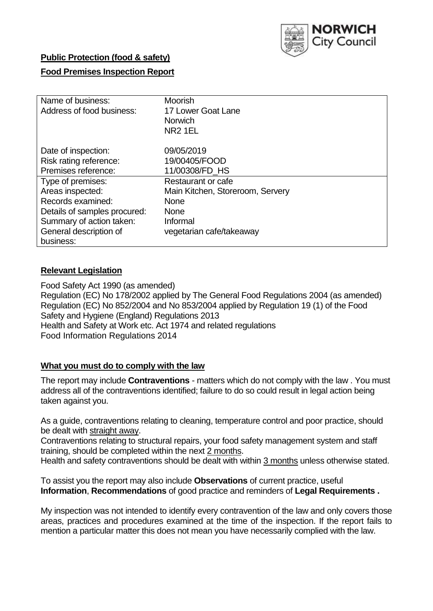

## **Public Protection (food & safety)**

## **Food Premises Inspection Report**

| Name of business:            | <b>Moorish</b>                   |  |  |  |  |
|------------------------------|----------------------------------|--|--|--|--|
| Address of food business:    | 17 Lower Goat Lane               |  |  |  |  |
|                              | <b>Norwich</b>                   |  |  |  |  |
|                              | <b>NR2 1EL</b>                   |  |  |  |  |
| Date of inspection:          | 09/05/2019                       |  |  |  |  |
| Risk rating reference:       | 19/00405/FOOD                    |  |  |  |  |
| Premises reference:          | 11/00308/FD HS                   |  |  |  |  |
| Type of premises:            | Restaurant or cafe               |  |  |  |  |
| Areas inspected:             | Main Kitchen, Storeroom, Servery |  |  |  |  |
| Records examined:            | <b>None</b>                      |  |  |  |  |
| Details of samples procured: | <b>None</b>                      |  |  |  |  |
| Summary of action taken:     | Informal                         |  |  |  |  |
| General description of       | vegetarian cafe/takeaway         |  |  |  |  |
| business:                    |                                  |  |  |  |  |

## **Relevant Legislation**

Food Safety Act 1990 (as amended) Regulation (EC) No 178/2002 applied by The General Food Regulations 2004 (as amended) Regulation (EC) No 852/2004 and No 853/2004 applied by Regulation 19 (1) of the Food Safety and Hygiene (England) Regulations 2013 Health and Safety at Work etc. Act 1974 and related regulations Food Information Regulations 2014

## **What you must do to comply with the law**

The report may include **Contraventions** - matters which do not comply with the law . You must address all of the contraventions identified; failure to do so could result in legal action being taken against you.

As a guide, contraventions relating to cleaning, temperature control and poor practice, should be dealt with straight away.

Contraventions relating to structural repairs, your food safety management system and staff training, should be completed within the next 2 months.

Health and safety contraventions should be dealt with within 3 months unless otherwise stated.

To assist you the report may also include **Observations** of current practice, useful **Information**, **Recommendations** of good practice and reminders of **Legal Requirements .**

My inspection was not intended to identify every contravention of the law and only covers those areas, practices and procedures examined at the time of the inspection. If the report fails to mention a particular matter this does not mean you have necessarily complied with the law.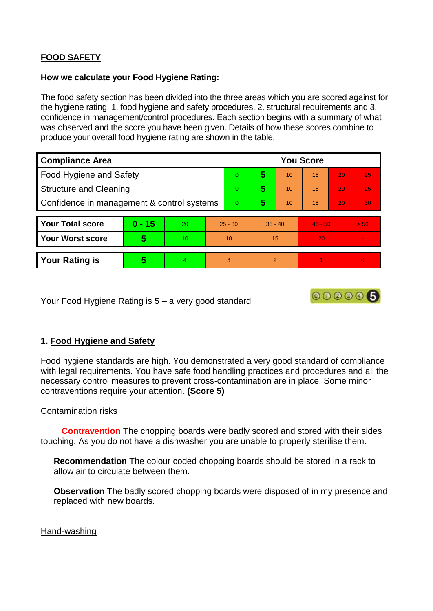# **FOOD SAFETY**

#### **How we calculate your Food Hygiene Rating:**

The food safety section has been divided into the three areas which you are scored against for the hygiene rating: 1. food hygiene and safety procedures, 2. structural requirements and 3. confidence in management/control procedures. Each section begins with a summary of what was observed and the score you have been given. Details of how these scores combine to produce your overall food hygiene rating are shown in the table.

| <b>Compliance Area</b>                     |          |                 |                | <b>You Score</b> |               |    |           |    |      |  |
|--------------------------------------------|----------|-----------------|----------------|------------------|---------------|----|-----------|----|------|--|
| Food Hygiene and Safety                    |          |                 | $\Omega$       | 5                | 10            | 15 | 20        | 25 |      |  |
| <b>Structure and Cleaning</b>              |          |                 | $\overline{0}$ | 5                | 10            | 15 | 20        | 25 |      |  |
| Confidence in management & control systems |          |                 | $\overline{0}$ | 5                | 10            | 15 | 20        | 30 |      |  |
|                                            |          |                 |                |                  |               |    |           |    |      |  |
| <b>Your Total score</b>                    | $0 - 15$ | 20              | $25 - 30$      |                  | $35 - 40$     |    | $45 - 50$ |    | > 50 |  |
| <b>Your Worst score</b>                    | 5        | 10 <sup>1</sup> | 10             |                  | 15            |    | 20        |    |      |  |
|                                            |          |                 |                |                  |               |    |           |    |      |  |
| <b>Your Rating is</b>                      | 5        | 4               | 3              |                  | $\mathcal{P}$ |    |           |    | 0    |  |

Your Food Hygiene Rating is 5 – a very good standard

# 000006

# **1. Food Hygiene and Safety**

Food hygiene standards are high. You demonstrated a very good standard of compliance with legal requirements. You have safe food handling practices and procedures and all the necessary control measures to prevent cross-contamination are in place. Some minor contraventions require your attention. **(Score 5)**

## Contamination risks

 **Contravention** The chopping boards were badly scored and stored with their sides touching. As you do not have a dishwasher you are unable to properly sterilise them.

**Recommendation** The colour coded chopping boards should be stored in a rack to allow air to circulate between them.

**Observation** The badly scored chopping boards were disposed of in my presence and replaced with new boards.

#### Hand-washing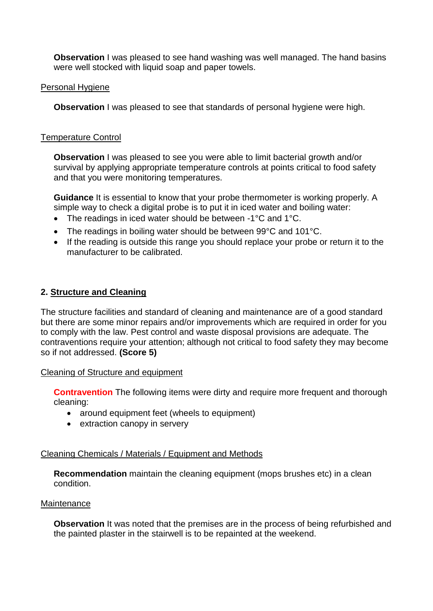**Observation** I was pleased to see hand washing was well managed. The hand basins were well stocked with liquid soap and paper towels.

#### Personal Hygiene

**Observation** I was pleased to see that standards of personal hygiene were high.

#### Temperature Control

**Observation I** was pleased to see you were able to limit bacterial growth and/or survival by applying appropriate temperature controls at points critical to food safety and that you were monitoring temperatures.

**Guidance** It is essential to know that your probe thermometer is working properly. A simple way to check a digital probe is to put it in iced water and boiling water:

- The readings in iced water should be between -1°C and 1°C.
- The readings in boiling water should be between 99°C and 101°C.
- If the reading is outside this range you should replace your probe or return it to the manufacturer to be calibrated.

## **2. Structure and Cleaning**

The structure facilities and standard of cleaning and maintenance are of a good standard but there are some minor repairs and/or improvements which are required in order for you to comply with the law. Pest control and waste disposal provisions are adequate. The contraventions require your attention; although not critical to food safety they may become so if not addressed. **(Score 5)**

#### Cleaning of Structure and equipment

**Contravention** The following items were dirty and require more frequent and thorough cleaning:

- around equipment feet (wheels to equipment)
- extraction canopy in servery

## Cleaning Chemicals / Materials / Equipment and Methods

**Recommendation** maintain the cleaning equipment (mops brushes etc) in a clean condition.

#### **Maintenance**

**Observation** It was noted that the premises are in the process of being refurbished and the painted plaster in the stairwell is to be repainted at the weekend.